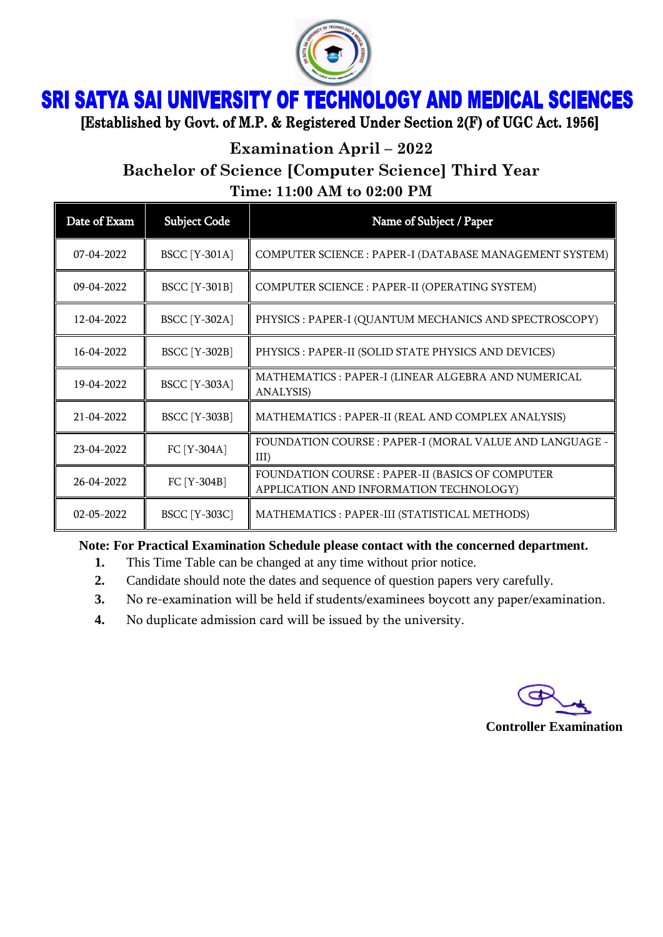

## **SRI SATYA SAI UNIVERSITY OF TECHNOLOGY AND MEDICAL SCIENCES**

[Established by Govt. of M.P. & Registered Under Section 2(F) of UGC Act. 1956]

**Examination April – 2022**

**Bachelor of Science [Computer Science] Third Year**

**Time: 11:00 AM to 02:00 PM**

| Date of Exam | <b>Subject Code</b>  | Name of Subject / Paper                                                                     |
|--------------|----------------------|---------------------------------------------------------------------------------------------|
| 07-04-2022   | <b>BSCC</b> [Y-301A] | COMPUTER SCIENCE : PAPER-I (DATABASE MANAGEMENT SYSTEM)                                     |
| 09-04-2022   | <b>BSCC</b> [Y-301B] | COMPUTER SCIENCE : PAPER-II (OPERATING SYSTEM)                                              |
| 12-04-2022   | <b>BSCC</b> [Y-302A] | PHYSICS : PAPER-I (QUANTUM MECHANICS AND SPECTROSCOPY)                                      |
| 16-04-2022   | <b>BSCC</b> [Y-302B] | PHYSICS : PAPER-II (SOLID STATE PHYSICS AND DEVICES)                                        |
| 19-04-2022   | <b>BSCC</b> [Y-303A] | MATHEMATICS : PAPER-I (LINEAR ALGEBRA AND NUMERICAL<br>ANALYSIS)                            |
| 21-04-2022   | <b>BSCC</b> [Y-303B] | MATHEMATICS : PAPER-II (REAL AND COMPLEX ANALYSIS)                                          |
| 23-04-2022   | FC [Y-304A]          | FOUNDATION COURSE : PAPER-I (MORAL VALUE AND LANGUAGE -<br>III)                             |
| 26-04-2022   | FC [Y-304B]          | FOUNDATION COURSE : PAPER-II (BASICS OF COMPUTER<br>APPLICATION AND INFORMATION TECHNOLOGY) |
| 02-05-2022   | <b>BSCC</b> [Y-303C] | MATHEMATICS : PAPER-III (STATISTICAL METHODS)                                               |

**Note: For Practical Examination Schedule please contact with the concerned department.**

- **1.** This Time Table can be changed at any time without prior notice.
- **2.** Candidate should note the dates and sequence of question papers very carefully.
- **3.** No re-examination will be held if students/examinees boycott any paper/examination.
- **4.** No duplicate admission card will be issued by the university.

**Controller Examination**